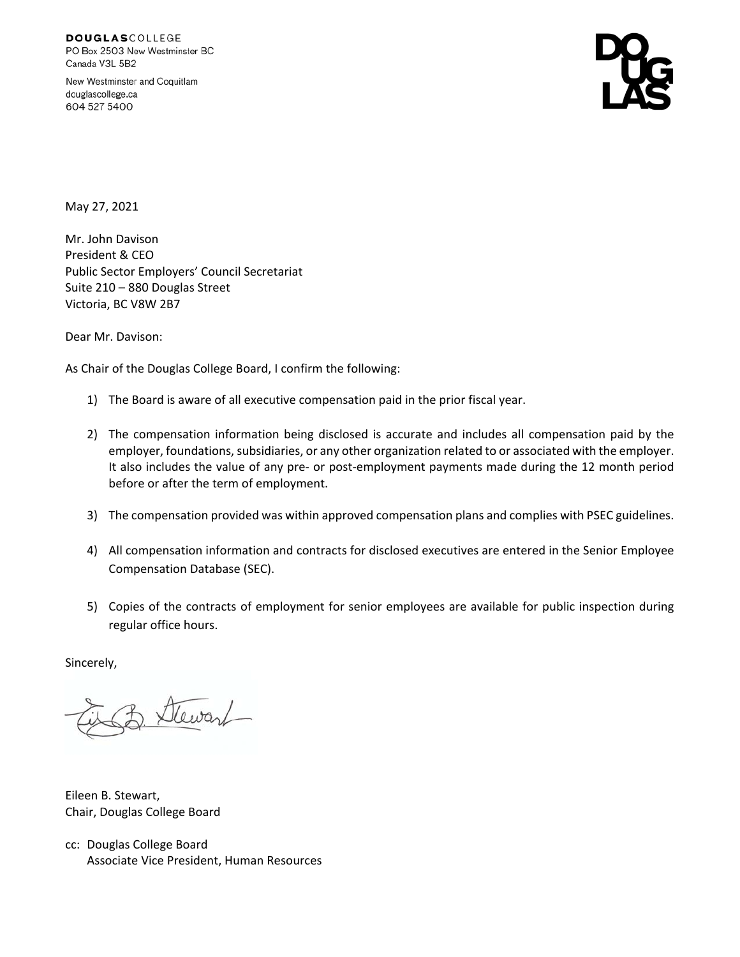**DOUGLASCOLLEGE** PO Box 2503 New Westminster BC Canada V3L 5B2

New Westminster and Coquitlam douglascollege.ca 604 527 5400

May 27, 2021

Mr. John Davison President & CEO Public Sector Employers' Council Secretariat Suite 210 – 880 Douglas Street Victoria, BC V8W 2B7

Dear Mr. Davison:

As Chair of the Douglas College Board, I confirm the following:

- 1) The Board is aware of all executive compensation paid in the prior fiscal year.
- 2) The compensation information being disclosed is accurate and includes all compensation paid by the employer, foundations, subsidiaries, or any other organization related to or associated with the employer. It also includes the value of any pre‐ or post‐employment payments made during the 12 month period before or after the term of employment.
- 3) The compensation provided was within approved compensation plans and complies with PSEC guidelines.
- 4) All compensation information and contracts for disclosed executives are entered in the Senior Employee Compensation Database (SEC).
- 5) Copies of the contracts of employment for senior employees are available for public inspection during regular office hours.

Sincerely,

Stewart

Eileen B. Stewart, Chair, Douglas College Board

cc: Douglas College Board Associate Vice President, Human Resources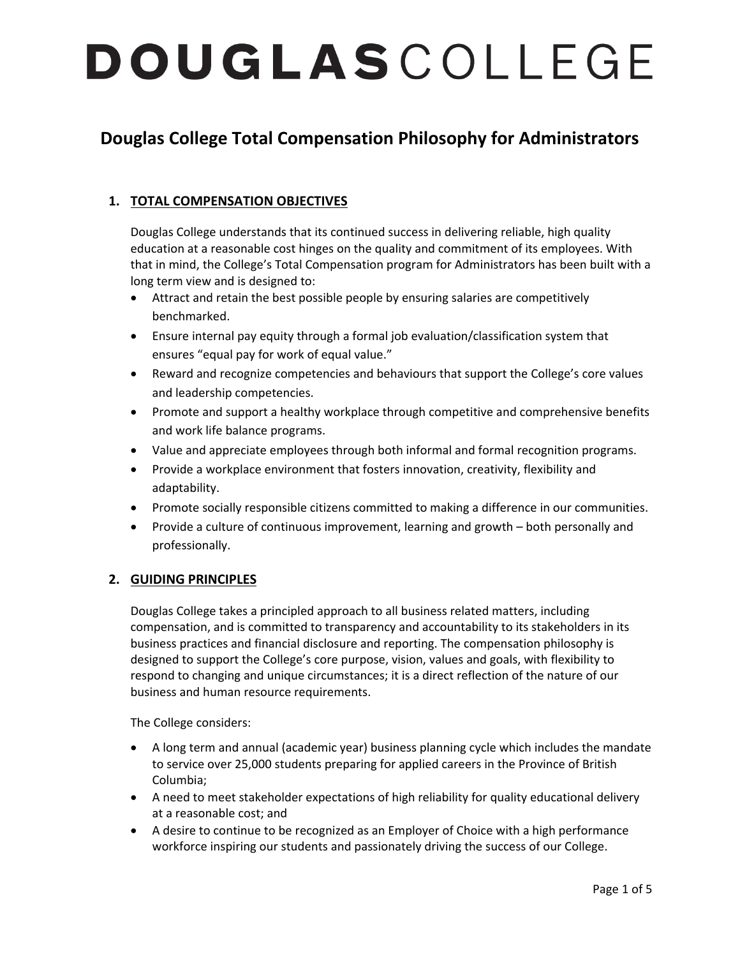### **Douglas College Total Compensation Philosophy for Administrators**

### **1. TOTAL COMPENSATION OBJECTIVES**

Douglas College understands that its continued success in delivering reliable, high quality education at a reasonable cost hinges on the quality and commitment of its employees. With that in mind, the College's Total Compensation program for Administrators has been built with a long term view and is designed to:

- Attract and retain the best possible people by ensuring salaries are competitively benchmarked.
- Ensure internal pay equity through a formal job evaluation/classification system that ensures "equal pay for work of equal value."
- Reward and recognize competencies and behaviours that support the College's core values and leadership competencies.
- Promote and support a healthy workplace through competitive and comprehensive benefits and work life balance programs.
- Value and appreciate employees through both informal and formal recognition programs.
- Provide a workplace environment that fosters innovation, creativity, flexibility and adaptability.
- Promote socially responsible citizens committed to making a difference in our communities.
- Provide a culture of continuous improvement, learning and growth both personally and professionally.

### **2. GUIDING PRINCIPLES**

Douglas College takes a principled approach to all business related matters, including compensation, and is committed to transparency and accountability to its stakeholders in its business practices and financial disclosure and reporting. The compensation philosophy is designed to support the College's core purpose, vision, values and goals, with flexibility to respond to changing and unique circumstances; it is a direct reflection of the nature of our business and human resource requirements.

The College considers:

- A long term and annual (academic year) business planning cycle which includes the mandate to service over 25,000 students preparing for applied careers in the Province of British Columbia;
- A need to meet stakeholder expectations of high reliability for quality educational delivery at a reasonable cost; and
- A desire to continue to be recognized as an Employer of Choice with a high performance workforce inspiring our students and passionately driving the success of our College.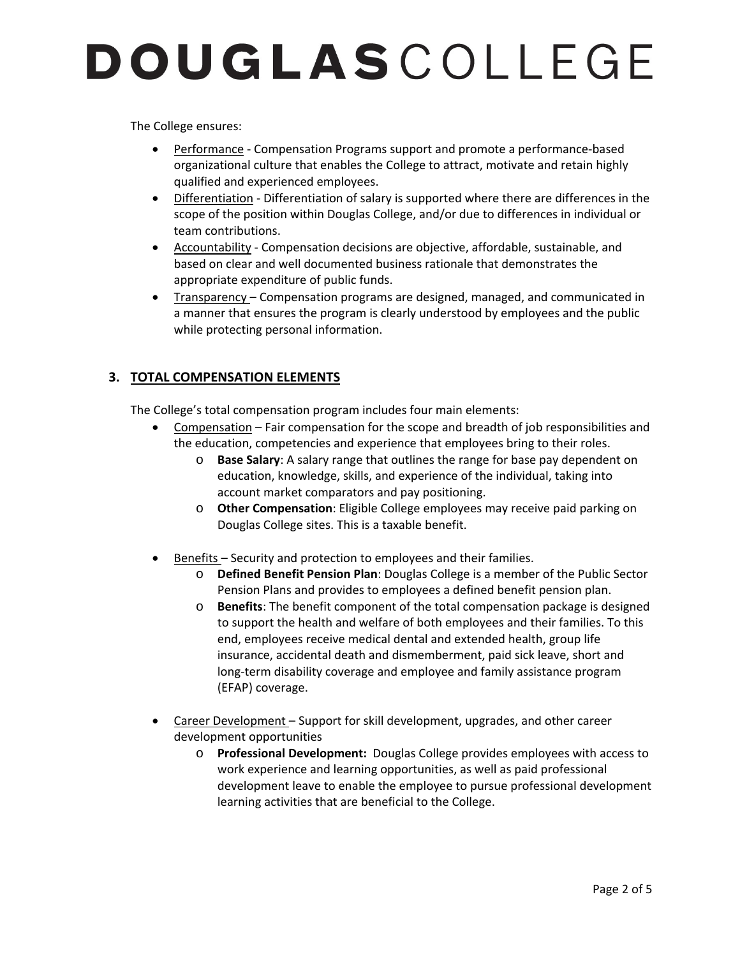The College ensures:

- Performance Compensation Programs support and promote a performance-based organizational culture that enables the College to attract, motivate and retain highly qualified and experienced employees.
- Differentiation Differentiation of salary is supported where there are differences in the scope of the position within Douglas College, and/or due to differences in individual or team contributions.
- Accountability Compensation decisions are objective, affordable, sustainable, and based on clear and well documented business rationale that demonstrates the appropriate expenditure of public funds.
- Transparency Compensation programs are designed, managed, and communicated in a manner that ensures the program is clearly understood by employees and the public while protecting personal information.

### **3. TOTAL COMPENSATION ELEMENTS**

The College's total compensation program includes four main elements:

- Compensation Fair compensation for the scope and breadth of job responsibilities and the education, competencies and experience that employees bring to their roles.
	- o **Base Salary**: A salary range that outlines the range for base pay dependent on education, knowledge, skills, and experience of the individual, taking into account market comparators and pay positioning.
	- o **Other Compensation**: Eligible College employees may receive paid parking on Douglas College sites. This is a taxable benefit.
- Benefits Security and protection to employees and their families.
	- o **Defined Benefit Pension Plan**: Douglas College is a member of the Public Sector Pension Plans and provides to employees a defined benefit pension plan.
	- o **Benefits**: The benefit component of the total compensation package is designed to support the health and welfare of both employees and their families. To this end, employees receive medical dental and extended health, group life insurance, accidental death and dismemberment, paid sick leave, short and long‐term disability coverage and employee and family assistance program (EFAP) coverage.
- Career Development Support for skill development, upgrades, and other career development opportunities
	- o **Professional Development:** Douglas College provides employees with access to work experience and learning opportunities, as well as paid professional development leave to enable the employee to pursue professional development learning activities that are beneficial to the College.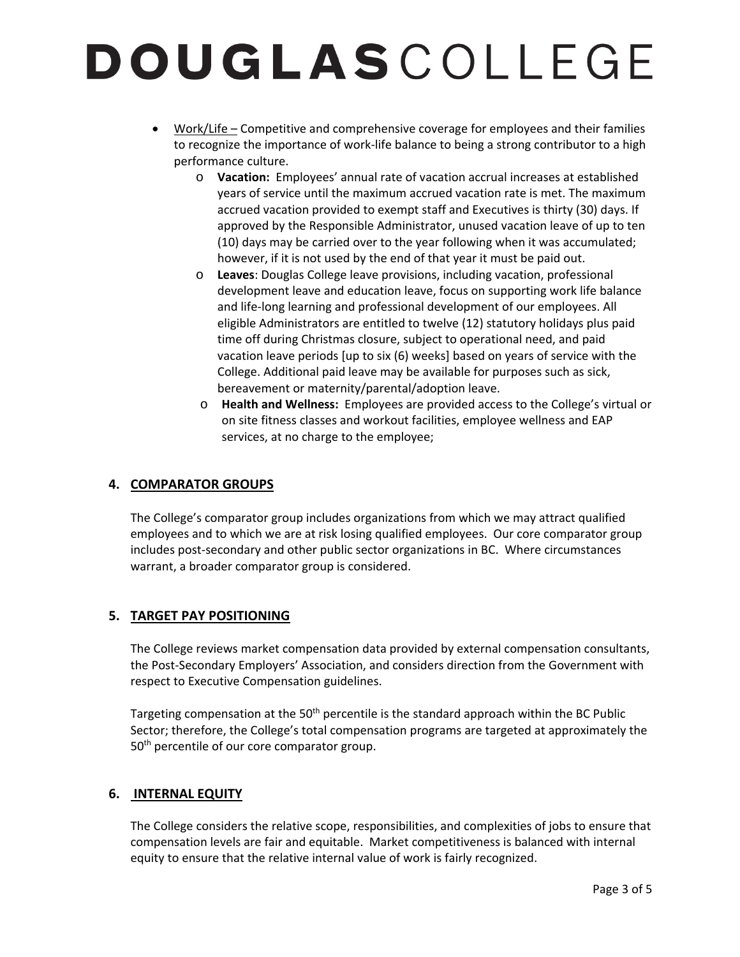- Work/Life Competitive and comprehensive coverage for employees and their families to recognize the importance of work‐life balance to being a strong contributor to a high performance culture.
	- o **Vacation:** Employees' annual rate of vacation accrual increases at established years of service until the maximum accrued vacation rate is met. The maximum accrued vacation provided to exempt staff and Executives is thirty (30) days. If approved by the Responsible Administrator, unused vacation leave of up to ten (10) days may be carried over to the year following when it was accumulated; however, if it is not used by the end of that year it must be paid out.
	- o **Leaves**: Douglas College leave provisions, including vacation, professional development leave and education leave, focus on supporting work life balance and life‐long learning and professional development of our employees. All eligible Administrators are entitled to twelve (12) statutory holidays plus paid time off during Christmas closure, subject to operational need, and paid vacation leave periods [up to six (6) weeks] based on years of service with the College. Additional paid leave may be available for purposes such as sick, bereavement or maternity/parental/adoption leave.
	- o **Health and Wellness:** Employees are provided access to the College's virtual or on site fitness classes and workout facilities, employee wellness and EAP services, at no charge to the employee;

### **4. COMPARATOR GROUPS**

The College's comparator group includes organizations from which we may attract qualified employees and to which we are at risk losing qualified employees. Our core comparator group includes post‐secondary and other public sector organizations in BC. Where circumstances warrant, a broader comparator group is considered.

### **5. TARGET PAY POSITIONING**

The College reviews market compensation data provided by external compensation consultants, the Post‐Secondary Employers' Association, and considers direction from the Government with respect to Executive Compensation guidelines.

Targeting compensation at the 50<sup>th</sup> percentile is the standard approach within the BC Public Sector; therefore, the College's total compensation programs are targeted at approximately the 50<sup>th</sup> percentile of our core comparator group.

### **6. INTERNAL EQUITY**

The College considers the relative scope, responsibilities, and complexities of jobs to ensure that compensation levels are fair and equitable. Market competitiveness is balanced with internal equity to ensure that the relative internal value of work is fairly recognized.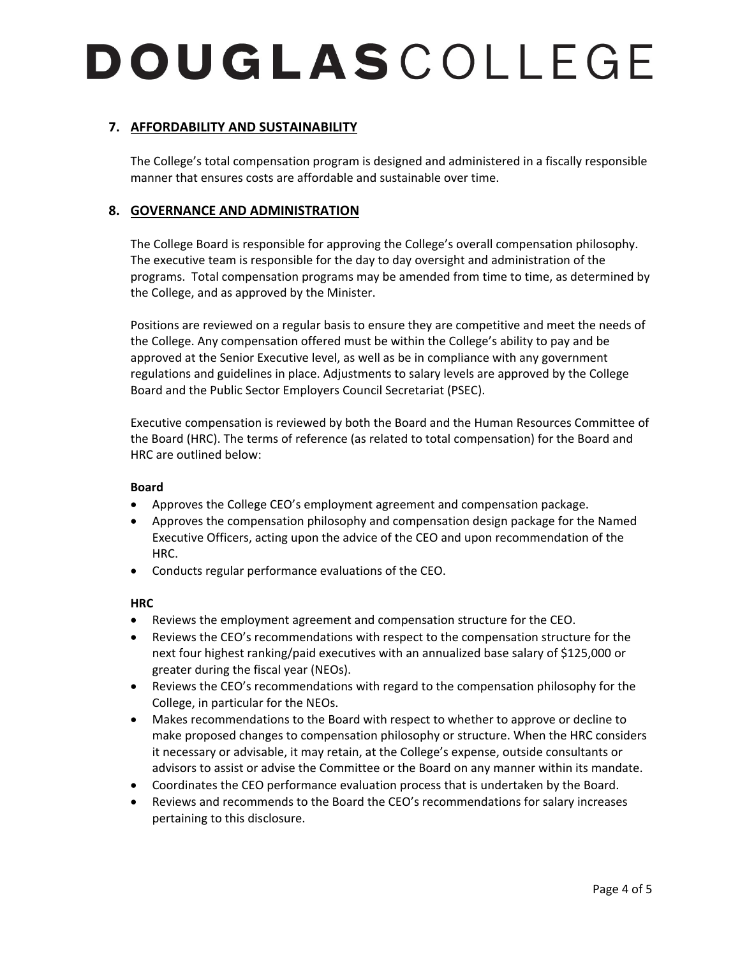### **7. AFFORDABILITY AND SUSTAINABILITY**

The College's total compensation program is designed and administered in a fiscally responsible manner that ensures costs are affordable and sustainable over time.

### **8. GOVERNANCE AND ADMINISTRATION**

The College Board is responsible for approving the College's overall compensation philosophy. The executive team is responsible for the day to day oversight and administration of the programs. Total compensation programs may be amended from time to time, as determined by the College, and as approved by the Minister.

Positions are reviewed on a regular basis to ensure they are competitive and meet the needs of the College. Any compensation offered must be within the College's ability to pay and be approved at the Senior Executive level, as well as be in compliance with any government regulations and guidelines in place. Adjustments to salary levels are approved by the College Board and the Public Sector Employers Council Secretariat (PSEC).

Executive compensation is reviewed by both the Board and the Human Resources Committee of the Board (HRC). The terms of reference (as related to total compensation) for the Board and HRC are outlined below:

#### **Board**

- Approves the College CEO's employment agreement and compensation package.
- Approves the compensation philosophy and compensation design package for the Named Executive Officers, acting upon the advice of the CEO and upon recommendation of the HRC.
- Conducts regular performance evaluations of the CEO.

#### **HRC**

- Reviews the employment agreement and compensation structure for the CEO.
- Reviews the CEO's recommendations with respect to the compensation structure for the next four highest ranking/paid executives with an annualized base salary of \$125,000 or greater during the fiscal year (NEOs).
- Reviews the CEO's recommendations with regard to the compensation philosophy for the College, in particular for the NEOs.
- Makes recommendations to the Board with respect to whether to approve or decline to make proposed changes to compensation philosophy or structure. When the HRC considers it necessary or advisable, it may retain, at the College's expense, outside consultants or advisors to assist or advise the Committee or the Board on any manner within its mandate.
- Coordinates the CEO performance evaluation process that is undertaken by the Board.
- Reviews and recommends to the Board the CEO's recommendations for salary increases pertaining to this disclosure.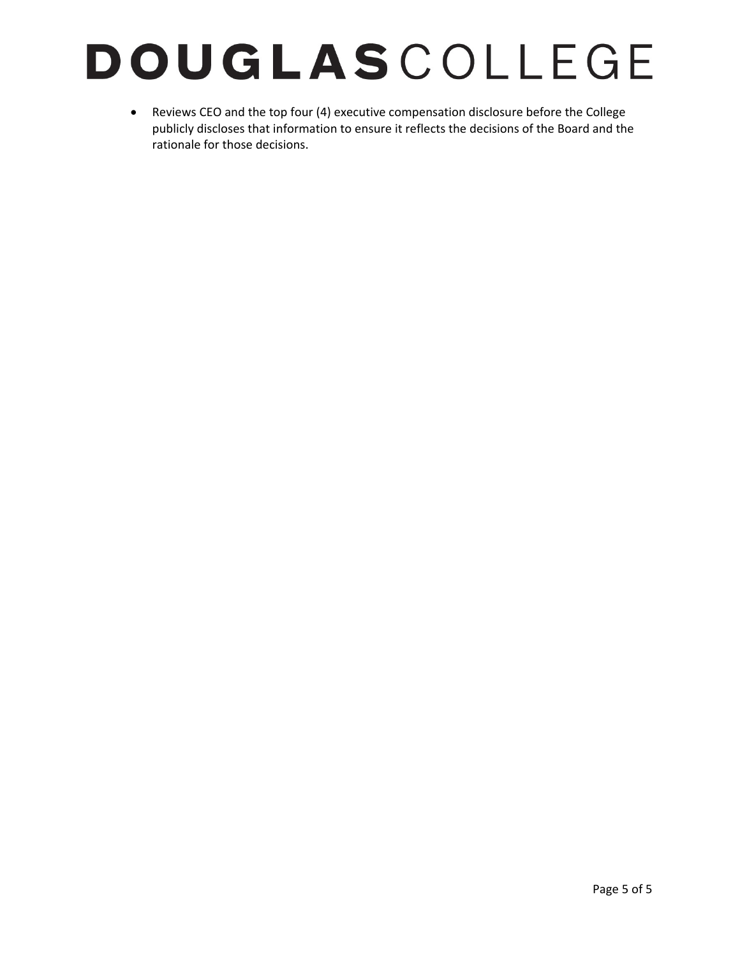Reviews CEO and the top four (4) executive compensation disclosure before the College publicly discloses that information to ensure it reflects the decisions of the Board and the rationale for those decisions.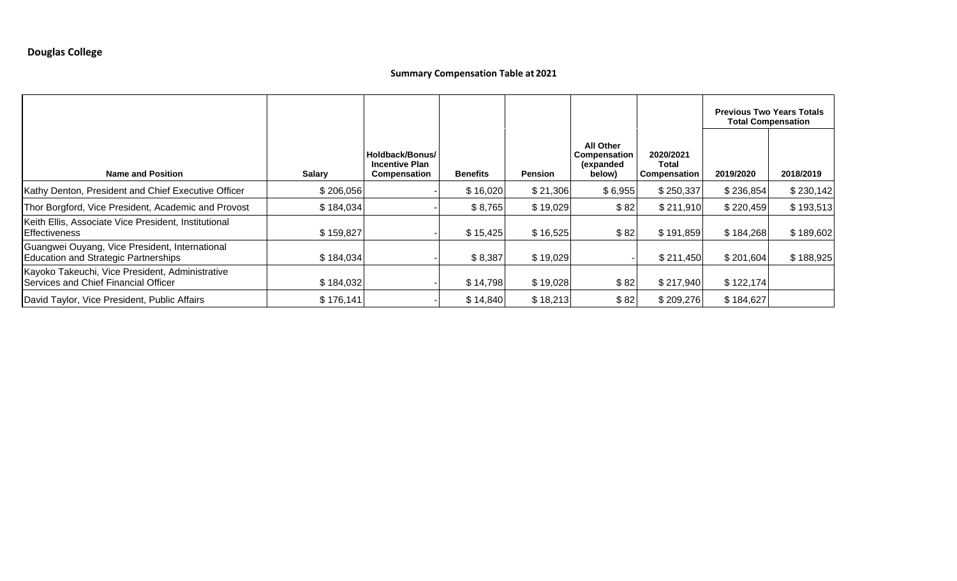### **Summary Compensation Table at 2021**

|                                                                                               |               |                                                                 |                 |                |                                                         |                                    | <b>Previous Two Years Totals</b><br><b>Total Compensation</b> |           |
|-----------------------------------------------------------------------------------------------|---------------|-----------------------------------------------------------------|-----------------|----------------|---------------------------------------------------------|------------------------------------|---------------------------------------------------------------|-----------|
| <b>Name and Position</b>                                                                      | <b>Salary</b> | Holdback/Bonus/<br><b>Incentive Plan</b><br><b>Compensation</b> | <b>Benefits</b> | <b>Pension</b> | <b>All Other</b><br>Compensation<br>(expanded<br>below) | 2020/2021<br>Total<br>Compensation | 2019/2020                                                     | 2018/2019 |
| Kathy Denton, President and Chief Executive Officer                                           | \$206,056     |                                                                 | \$16,020        | \$21,306       | \$6,955                                                 | \$250,337                          | \$236,854                                                     | \$230,142 |
| Thor Borgford, Vice President, Academic and Provost                                           | \$184,034     |                                                                 | \$8,765         | \$19,029       | \$82                                                    | \$211,910                          | \$220,459                                                     | \$193,513 |
| Keith Ellis, Associate Vice President, Institutional<br>Effectiveness                         | \$159,827     |                                                                 | \$15,425        | \$16,525       | \$82                                                    | \$191,859                          | \$184,268                                                     | \$189,602 |
| Guangwei Ouyang, Vice President, International<br><b>Education and Strategic Partnerships</b> | \$184,034     |                                                                 | \$8,387         | \$19,029       |                                                         | \$211,450                          | \$201,604                                                     | \$188,925 |
| Kayoko Takeuchi, Vice President, Administrative<br>Services and Chief Financial Officer       | \$184,032     |                                                                 | \$14,798        | \$19,028       | \$82                                                    | \$217,940                          | \$122, 174                                                    |           |
| David Taylor, Vice President, Public Affairs                                                  | \$176,141     |                                                                 | \$14,840        | \$18,213       | \$82                                                    | \$209,276                          | \$184,627                                                     |           |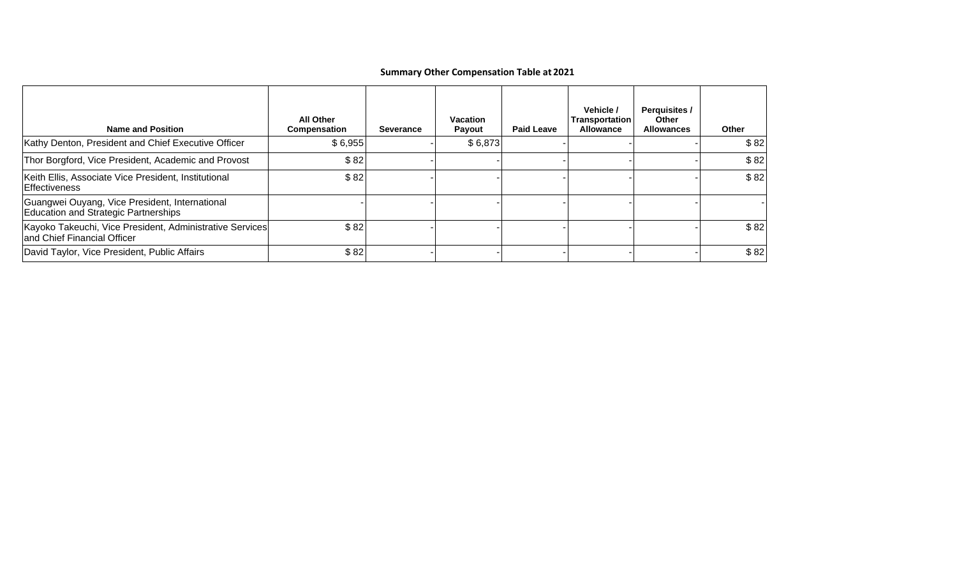### **Summary Other Compensation Table at 2021**

| <b>Name and Position</b>                                                                | <b>All Other</b><br><b>Compensation</b> | <b>Severance</b> | <b>Vacation</b><br><b>Payout</b> | <b>Paid Leave</b> | Vehicle /<br>Transportation<br><b>Allowance</b> | <b>Perquisites /</b><br>Other<br><b>Allowances</b> | Other |
|-----------------------------------------------------------------------------------------|-----------------------------------------|------------------|----------------------------------|-------------------|-------------------------------------------------|----------------------------------------------------|-------|
| Kathy Denton, President and Chief Executive Officer                                     | \$6,955                                 |                  | \$6,873                          |                   |                                                 |                                                    | \$82  |
| Thor Borgford, Vice President, Academic and Provost                                     | \$82                                    |                  |                                  |                   |                                                 |                                                    | \$82  |
| Keith Ellis, Associate Vice President, Institutional<br>Effectiveness                   | \$82                                    |                  |                                  |                   |                                                 |                                                    | \$82  |
| Guangwei Ouyang, Vice President, International<br>Education and Strategic Partnerships  |                                         |                  |                                  |                   |                                                 |                                                    |       |
| Kayoko Takeuchi, Vice President, Administrative Services<br>and Chief Financial Officer | \$82                                    |                  |                                  |                   |                                                 |                                                    | \$82  |
| David Taylor, Vice President, Public Affairs                                            | \$82                                    |                  |                                  |                   |                                                 |                                                    | \$82  |